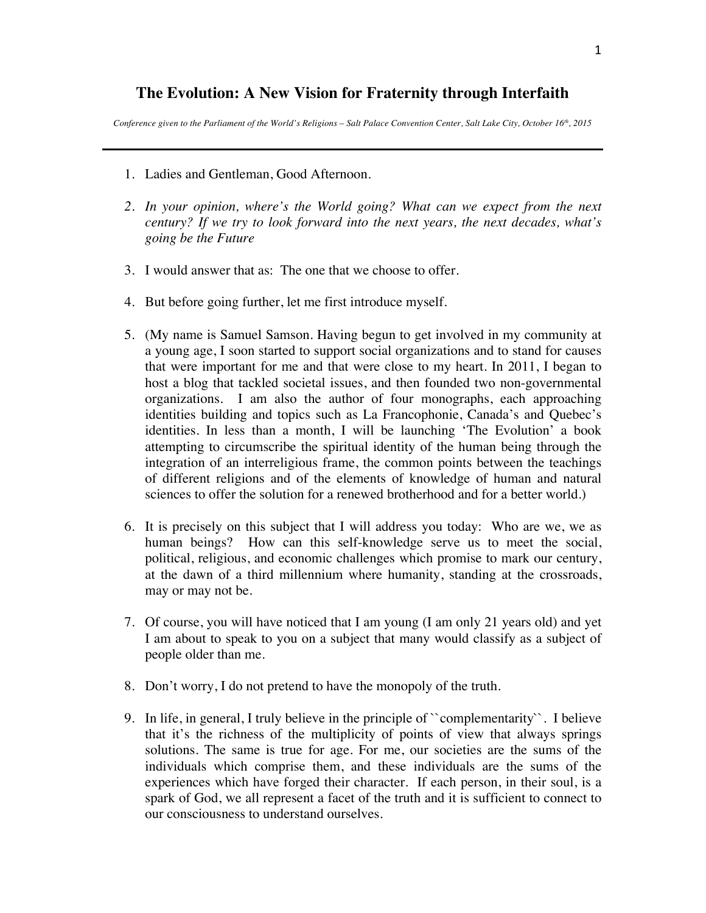## **The Evolution: A New Vision for Fraternity through Interfaith**

*Conference given to the Parliament of the World's Religions – Salt Palace Convention Center, Salt Lake City, October 16th, 2015*

- 1. Ladies and Gentleman, Good Afternoon.
- *2. In your opinion, where's the World going? What can we expect from the next century? If we try to look forward into the next years, the next decades, what's going be the Future*
- 3. I would answer that as: The one that we choose to offer.
- 4. But before going further, let me first introduce myself.
- 5. (My name is Samuel Samson. Having begun to get involved in my community at a young age, I soon started to support social organizations and to stand for causes that were important for me and that were close to my heart. In 2011, I began to host a blog that tackled societal issues, and then founded two non-governmental organizations. I am also the author of four monographs, each approaching identities building and topics such as La Francophonie, Canada's and Quebec's identities. In less than a month, I will be launching 'The Evolution' a book attempting to circumscribe the spiritual identity of the human being through the integration of an interreligious frame, the common points between the teachings of different religions and of the elements of knowledge of human and natural sciences to offer the solution for a renewed brotherhood and for a better world.)
- 6. It is precisely on this subject that I will address you today: Who are we, we as human beings? How can this self-knowledge serve us to meet the social, political, religious, and economic challenges which promise to mark our century, at the dawn of a third millennium where humanity, standing at the crossroads, may or may not be.
- 7. Of course, you will have noticed that I am young (I am only 21 years old) and yet I am about to speak to you on a subject that many would classify as a subject of people older than me.
- 8. Don't worry, I do not pretend to have the monopoly of the truth.
- 9. In life, in general, I truly believe in the principle of ``complementarity``. I believe that it's the richness of the multiplicity of points of view that always springs solutions. The same is true for age. For me, our societies are the sums of the individuals which comprise them, and these individuals are the sums of the experiences which have forged their character. If each person, in their soul, is a spark of God, we all represent a facet of the truth and it is sufficient to connect to our consciousness to understand ourselves.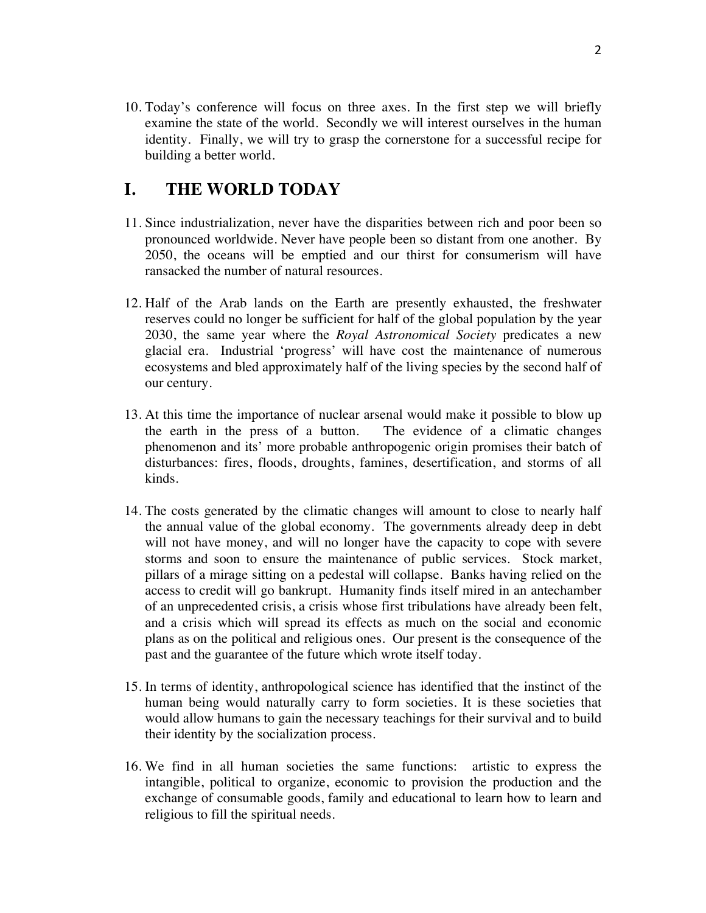10. Today's conference will focus on three axes. In the first step we will briefly examine the state of the world. Secondly we will interest ourselves in the human identity. Finally, we will try to grasp the cornerstone for a successful recipe for building a better world.

## **I. THE WORLD TODAY**

- 11. Since industrialization, never have the disparities between rich and poor been so pronounced worldwide. Never have people been so distant from one another. By 2050, the oceans will be emptied and our thirst for consumerism will have ransacked the number of natural resources.
- 12. Half of the Arab lands on the Earth are presently exhausted, the freshwater reserves could no longer be sufficient for half of the global population by the year 2030, the same year where the *Royal Astronomical Society* predicates a new glacial era. Industrial 'progress' will have cost the maintenance of numerous ecosystems and bled approximately half of the living species by the second half of our century.
- 13. At this time the importance of nuclear arsenal would make it possible to blow up the earth in the press of a button. The evidence of a climatic changes phenomenon and its' more probable anthropogenic origin promises their batch of disturbances: fires, floods, droughts, famines, desertification, and storms of all kinds.
- 14. The costs generated by the climatic changes will amount to close to nearly half the annual value of the global economy. The governments already deep in debt will not have money, and will no longer have the capacity to cope with severe storms and soon to ensure the maintenance of public services. Stock market, pillars of a mirage sitting on a pedestal will collapse. Banks having relied on the access to credit will go bankrupt. Humanity finds itself mired in an antechamber of an unprecedented crisis, a crisis whose first tribulations have already been felt, and a crisis which will spread its effects as much on the social and economic plans as on the political and religious ones. Our present is the consequence of the past and the guarantee of the future which wrote itself today.
- 15. In terms of identity, anthropological science has identified that the instinct of the human being would naturally carry to form societies. It is these societies that would allow humans to gain the necessary teachings for their survival and to build their identity by the socialization process.
- 16. We find in all human societies the same functions: artistic to express the intangible, political to organize, economic to provision the production and the exchange of consumable goods, family and educational to learn how to learn and religious to fill the spiritual needs.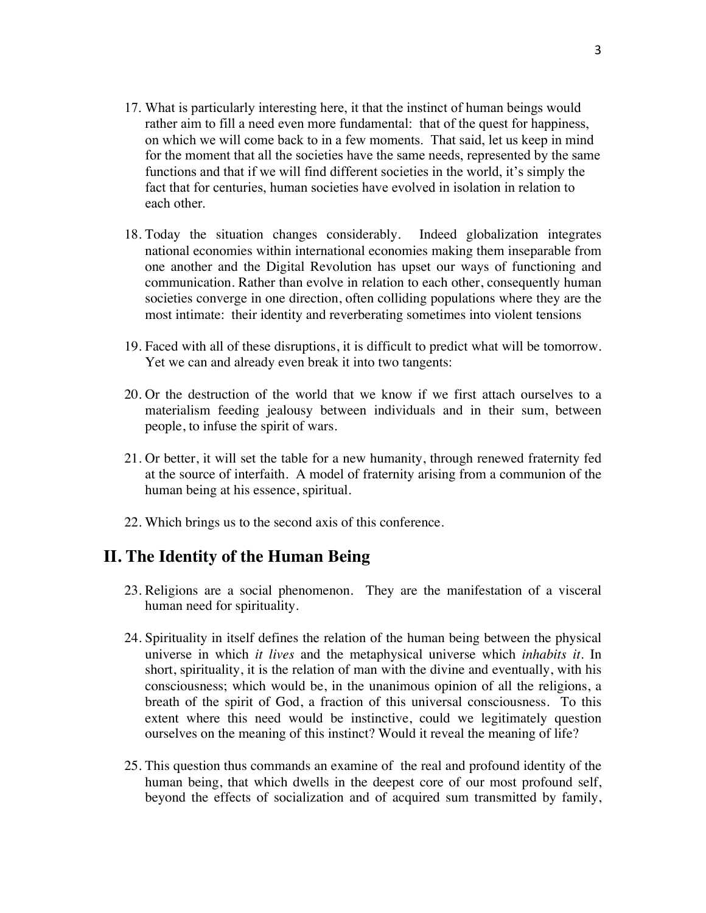- 17. What is particularly interesting here, it that the instinct of human beings would rather aim to fill a need even more fundamental: that of the quest for happiness, on which we will come back to in a few moments. That said, let us keep in mind for the moment that all the societies have the same needs, represented by the same functions and that if we will find different societies in the world, it's simply the fact that for centuries, human societies have evolved in isolation in relation to each other.
- 18. Today the situation changes considerably. Indeed globalization integrates national economies within international economies making them inseparable from one another and the Digital Revolution has upset our ways of functioning and communication. Rather than evolve in relation to each other, consequently human societies converge in one direction, often colliding populations where they are the most intimate: their identity and reverberating sometimes into violent tensions
- 19. Faced with all of these disruptions, it is difficult to predict what will be tomorrow. Yet we can and already even break it into two tangents:
- 20. Or the destruction of the world that we know if we first attach ourselves to a materialism feeding jealousy between individuals and in their sum, between people, to infuse the spirit of wars.
- 21. Or better, it will set the table for a new humanity, through renewed fraternity fed at the source of interfaith. A model of fraternity arising from a communion of the human being at his essence, spiritual.
- 22. Which brings us to the second axis of this conference.

## **II. The Identity of the Human Being**

- 23. Religions are a social phenomenon. They are the manifestation of a visceral human need for spirituality.
- 24. Spirituality in itself defines the relation of the human being between the physical universe in which *it lives* and the metaphysical universe which *inhabits it*. In short, spirituality, it is the relation of man with the divine and eventually, with his consciousness; which would be, in the unanimous opinion of all the religions, a breath of the spirit of God, a fraction of this universal consciousness. To this extent where this need would be instinctive, could we legitimately question ourselves on the meaning of this instinct? Would it reveal the meaning of life?
- 25. This question thus commands an examine of the real and profound identity of the human being, that which dwells in the deepest core of our most profound self, beyond the effects of socialization and of acquired sum transmitted by family,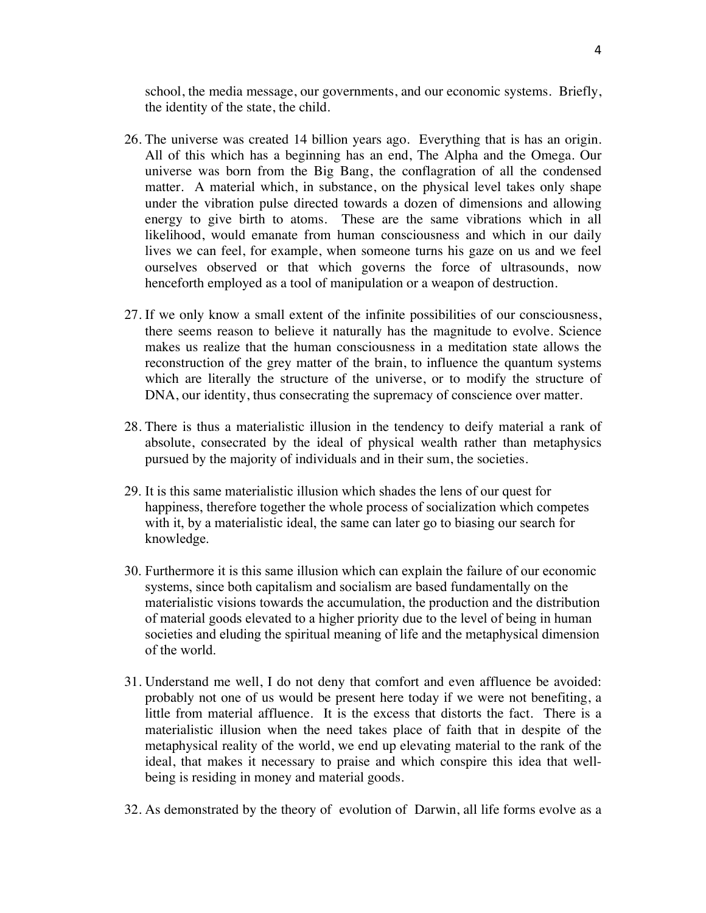school, the media message, our governments, and our economic systems. Briefly, the identity of the state, the child.

- 26. The universe was created 14 billion years ago. Everything that is has an origin. All of this which has a beginning has an end, The Alpha and the Omega. Our universe was born from the Big Bang, the conflagration of all the condensed matter. A material which, in substance, on the physical level takes only shape under the vibration pulse directed towards a dozen of dimensions and allowing energy to give birth to atoms. These are the same vibrations which in all likelihood, would emanate from human consciousness and which in our daily lives we can feel, for example, when someone turns his gaze on us and we feel ourselves observed or that which governs the force of ultrasounds, now henceforth employed as a tool of manipulation or a weapon of destruction.
- 27. If we only know a small extent of the infinite possibilities of our consciousness, there seems reason to believe it naturally has the magnitude to evolve. Science makes us realize that the human consciousness in a meditation state allows the reconstruction of the grey matter of the brain, to influence the quantum systems which are literally the structure of the universe, or to modify the structure of DNA, our identity, thus consecrating the supremacy of conscience over matter.
- 28. There is thus a materialistic illusion in the tendency to deify material a rank of absolute, consecrated by the ideal of physical wealth rather than metaphysics pursued by the majority of individuals and in their sum, the societies.
- 29. It is this same materialistic illusion which shades the lens of our quest for happiness, therefore together the whole process of socialization which competes with it, by a materialistic ideal, the same can later go to biasing our search for knowledge.
- 30. Furthermore it is this same illusion which can explain the failure of our economic systems, since both capitalism and socialism are based fundamentally on the materialistic visions towards the accumulation, the production and the distribution of material goods elevated to a higher priority due to the level of being in human societies and eluding the spiritual meaning of life and the metaphysical dimension of the world.
- 31. Understand me well, I do not deny that comfort and even affluence be avoided: probably not one of us would be present here today if we were not benefiting, a little from material affluence. It is the excess that distorts the fact. There is a materialistic illusion when the need takes place of faith that in despite of the metaphysical reality of the world, we end up elevating material to the rank of the ideal, that makes it necessary to praise and which conspire this idea that wellbeing is residing in money and material goods.
- 32. As demonstrated by the theory of evolution of Darwin, all life forms evolve as a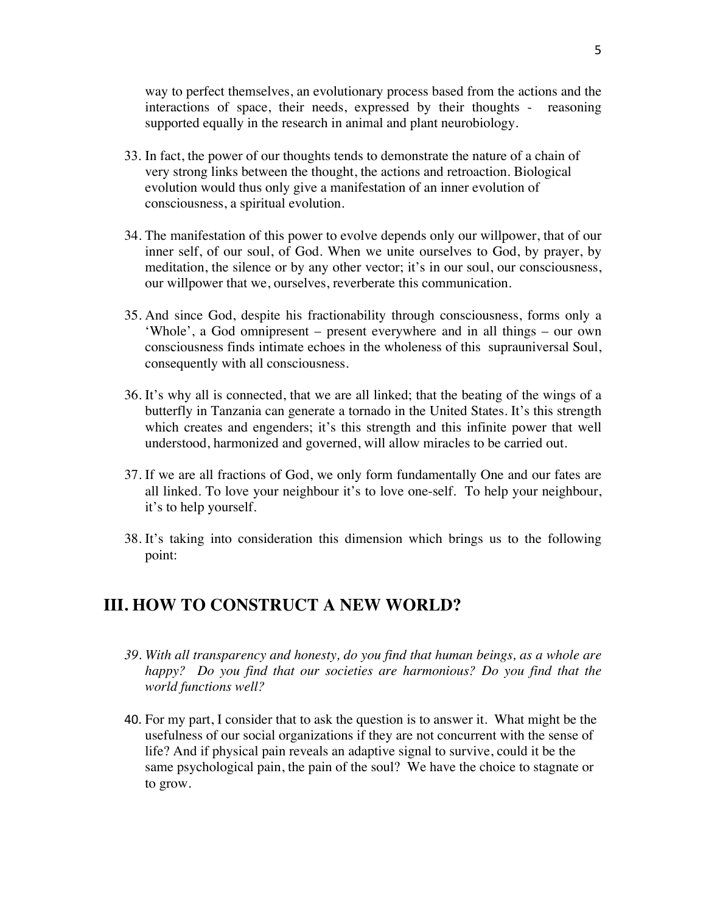way to perfect themselves, an evolutionary process based from the actions and the interactions of space, their needs, expressed by their thoughts - reasoning supported equally in the research in animal and plant neurobiology.

- 33. In fact, the power of our thoughts tends to demonstrate the nature of a chain of very strong links between the thought, the actions and retroaction. Biological evolution would thus only give a manifestation of an inner evolution of consciousness, a spiritual evolution.
- 34. The manifestation of this power to evolve depends only our willpower, that of our inner self, of our soul, of God. When we unite ourselves to God, by prayer, by meditation, the silence or by any other vector; it's in our soul, our consciousness, our willpower that we, ourselves, reverberate this communication.
- 35. And since God, despite his fractionability through consciousness, forms only a 'Whole', a God omnipresent – present everywhere and in all things – our own consciousness finds intimate echoes in the wholeness of this suprauniversal Soul, consequently with all consciousness.
- 36. It's why all is connected, that we are all linked; that the beating of the wings of a butterfly in Tanzania can generate a tornado in the United States. It's this strength which creates and engenders; it's this strength and this infinite power that well understood, harmonized and governed, will allow miracles to be carried out.
- 37. If we are all fractions of God, we only form fundamentally One and our fates are all linked. To love your neighbour it's to love one-self. To help your neighbour, it's to help yourself.
- 38. It's taking into consideration this dimension which brings us to the following point:

## **III. HOW TO CONSTRUCT A NEW WORLD?**

- *39. With all transparency and honesty, do you find that human beings, as a whole are happy? Do you find that our societies are harmonious? Do you find that the world functions well?*
- 40. For my part, I consider that to ask the question is to answer it. What might be the usefulness of our social organizations if they are not concurrent with the sense of life? And if physical pain reveals an adaptive signal to survive, could it be the same psychological pain, the pain of the soul? We have the choice to stagnate or to grow.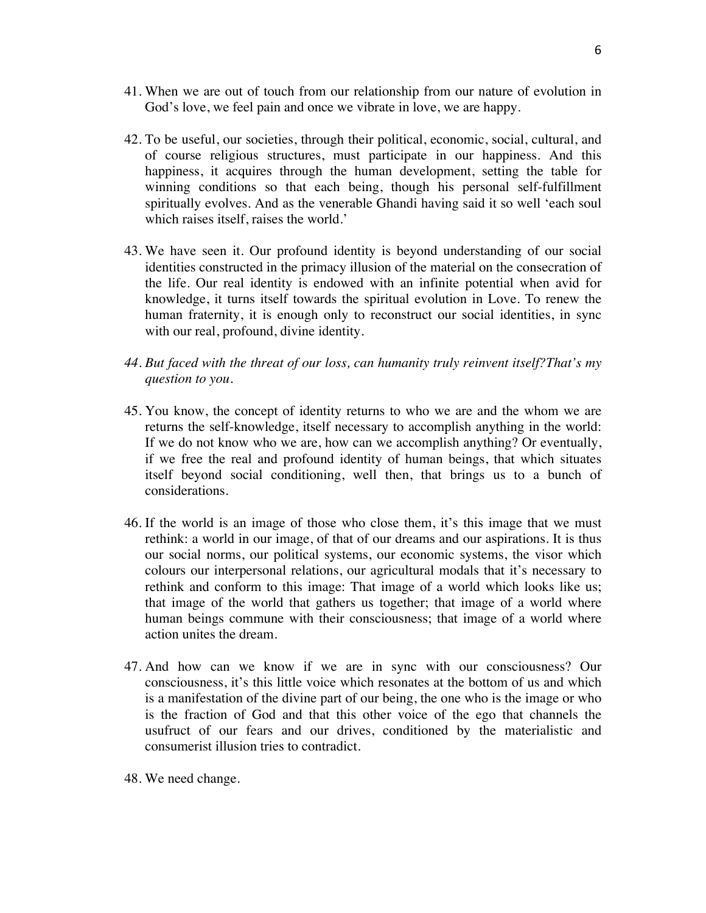- 41. When we are out of touch from our relationship from our nature of evolution in God's love, we feel pain and once we vibrate in love, we are happy.
- 42. To be useful, our societies, through their political, economic, social, cultural, and of course religious structures, must participate in our happiness. And this happiness, it acquires through the human development, setting the table for winning conditions so that each being, though his personal self-fulfillment spiritually evolves. And as the venerable Ghandi having said it so well 'each soul which raises itself, raises the world.'
- 43. We have seen it. Our profound identity is beyond understanding of our social identities constructed in the primacy illusion of the material on the consecration of the life. Our real identity is endowed with an infinite potential when avid for knowledge, it turns itself towards the spiritual evolution in Love. To renew the human fraternity, it is enough only to reconstruct our social identities, in sync with our real, profound, divine identity.
- *44. But faced with the threat of our loss, can humanity truly reinvent itself?That's my question to you.*
- 45. You know, the concept of identity returns to who we are and the whom we are returns the self-knowledge, itself necessary to accomplish anything in the world: If we do not know who we are, how can we accomplish anything? Or eventually, if we free the real and profound identity of human beings, that which situates itself beyond social conditioning, well then, that brings us to a bunch of considerations.
- 46. If the world is an image of those who close them, it's this image that we must rethink: a world in our image, of that of our dreams and our aspirations. It is thus our social norms, our political systems, our economic systems, the visor which colours our interpersonal relations, our agricultural modals that it's necessary to rethink and conform to this image: That image of a world which looks like us; that image of the world that gathers us together; that image of a world where human beings commune with their consciousness; that image of a world where action unites the dream.
- 47. And how can we know if we are in sync with our consciousness? Our consciousness, it's this little voice which resonates at the bottom of us and which is a manifestation of the divine part of our being, the one who is the image or who is the fraction of God and that this other voice of the ego that channels the usufruct of our fears and our drives, conditioned by the materialistic and consumerist illusion tries to contradict.
- 48. We need change.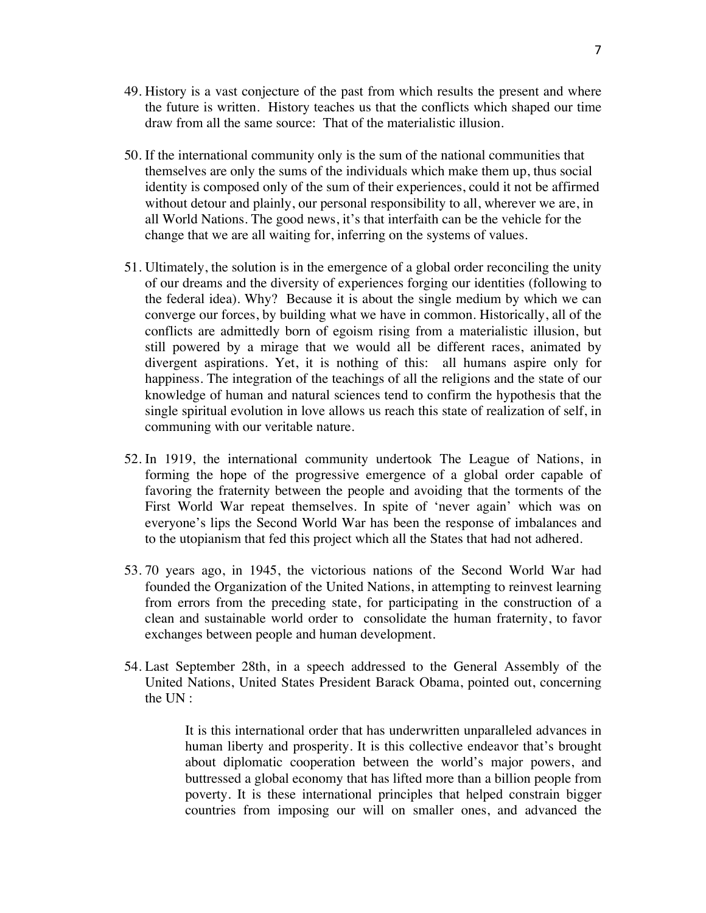- 49. History is a vast conjecture of the past from which results the present and where the future is written. History teaches us that the conflicts which shaped our time draw from all the same source: That of the materialistic illusion.
- 50. If the international community only is the sum of the national communities that themselves are only the sums of the individuals which make them up, thus social identity is composed only of the sum of their experiences, could it not be affirmed without detour and plainly, our personal responsibility to all, wherever we are, in all World Nations. The good news, it's that interfaith can be the vehicle for the change that we are all waiting for, inferring on the systems of values.
- 51. Ultimately, the solution is in the emergence of a global order reconciling the unity of our dreams and the diversity of experiences forging our identities (following to the federal idea). Why? Because it is about the single medium by which we can converge our forces, by building what we have in common. Historically, all of the conflicts are admittedly born of egoism rising from a materialistic illusion, but still powered by a mirage that we would all be different races, animated by divergent aspirations. Yet, it is nothing of this: all humans aspire only for happiness. The integration of the teachings of all the religions and the state of our knowledge of human and natural sciences tend to confirm the hypothesis that the single spiritual evolution in love allows us reach this state of realization of self, in communing with our veritable nature.
- 52. In 1919, the international community undertook The League of Nations, in forming the hope of the progressive emergence of a global order capable of favoring the fraternity between the people and avoiding that the torments of the First World War repeat themselves. In spite of 'never again' which was on everyone's lips the Second World War has been the response of imbalances and to the utopianism that fed this project which all the States that had not adhered.
- 53. 70 years ago, in 1945, the victorious nations of the Second World War had founded the Organization of the United Nations, in attempting to reinvest learning from errors from the preceding state, for participating in the construction of a clean and sustainable world order to consolidate the human fraternity, to favor exchanges between people and human development.
- 54. Last September 28th, in a speech addressed to the General Assembly of the United Nations, United States President Barack Obama, pointed out, concerning the UN :

It is this international order that has underwritten unparalleled advances in human liberty and prosperity. It is this collective endeavor that's brought about diplomatic cooperation between the world's major powers, and buttressed a global economy that has lifted more than a billion people from poverty. It is these international principles that helped constrain bigger countries from imposing our will on smaller ones, and advanced the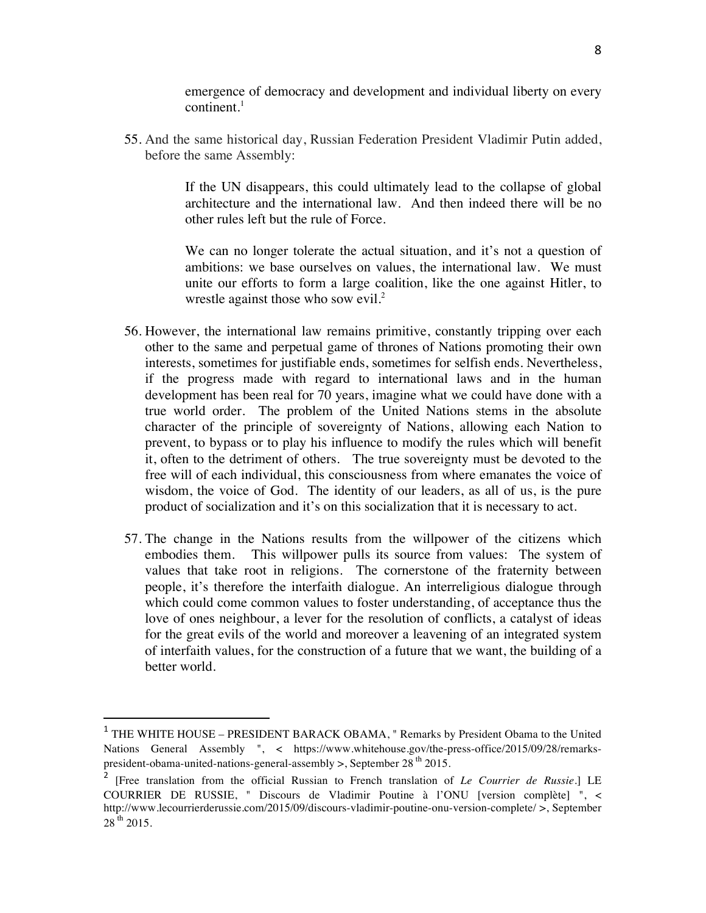emergence of democracy and development and individual liberty on every  $control<sup>1</sup>$ 

55. And the same historical day, Russian Federation President Vladimir Putin added, before the same Assembly:

> If the UN disappears, this could ultimately lead to the collapse of global architecture and the international law. And then indeed there will be no other rules left but the rule of Force.

> We can no longer tolerate the actual situation, and it's not a question of ambitions: we base ourselves on values, the international law. We must unite our efforts to form a large coalition, like the one against Hitler, to wrestle against those who sow evil.<sup>2</sup>

- 56. However, the international law remains primitive, constantly tripping over each other to the same and perpetual game of thrones of Nations promoting their own interests, sometimes for justifiable ends, sometimes for selfish ends. Nevertheless, if the progress made with regard to international laws and in the human development has been real for 70 years, imagine what we could have done with a true world order. The problem of the United Nations stems in the absolute character of the principle of sovereignty of Nations, allowing each Nation to prevent, to bypass or to play his influence to modify the rules which will benefit it, often to the detriment of others. The true sovereignty must be devoted to the free will of each individual, this consciousness from where emanates the voice of wisdom, the voice of God. The identity of our leaders, as all of us, is the pure product of socialization and it's on this socialization that it is necessary to act.
- 57. The change in the Nations results from the willpower of the citizens which embodies them. This willpower pulls its source from values: The system of values that take root in religions. The cornerstone of the fraternity between people, it's therefore the interfaith dialogue. An interreligious dialogue through which could come common values to foster understanding, of acceptance thus the love of ones neighbour, a lever for the resolution of conflicts, a catalyst of ideas for the great evils of the world and moreover a leavening of an integrated system of interfaith values, for the construction of a future that we want, the building of a better world.

 

<sup>1</sup> THE WHITE HOUSE – PRESIDENT BARACK OBAMA, " Remarks by President Obama to the United Nations General Assembly ", < https://www.whitehouse.gov/the-press-office/2015/09/28/remarkspresident-obama-united-nations-general-assembly  $>$ , September 28<sup>th</sup> 2015.

<sup>2</sup> [Free translation from the official Russian to French translation of *Le Courrier de Russie*.] LE COURRIER DE RUSSIE, " Discours de Vladimir Poutine à l'ONU [version complète] ", < http://www.lecourrierderussie.com/2015/09/discours-vladimir-poutine-onu-version-complete/ >, September  $28^{th}$  2015.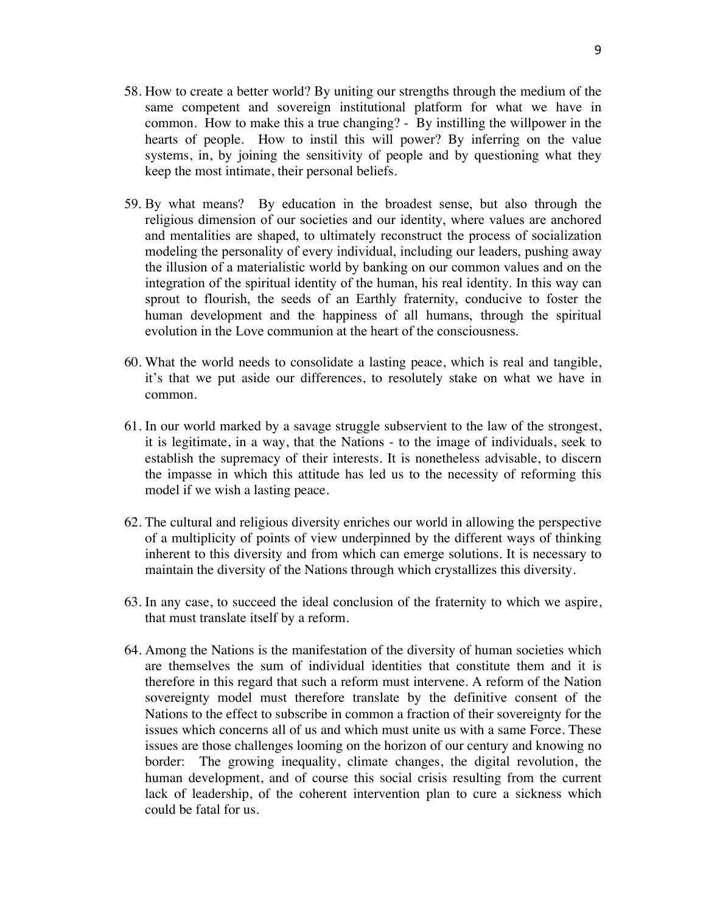- 58. How to create a better world? By uniting our strengths through the medium of the same competent and sovereign institutional platform for what we have in common. How to make this a true changing? - By instilling the willpower in the hearts of people. How to instil this will power? By inferring on the value systems, in, by joining the sensitivity of people and by questioning what they keep the most intimate, their personal beliefs.
- 59. By what means? By education in the broadest sense, but also through the religious dimension of our societies and our identity, where values are anchored and mentalities are shaped, to ultimately reconstruct the process of socialization modeling the personality of every individual, including our leaders, pushing away the illusion of a materialistic world by banking on our common values and on the integration of the spiritual identity of the human, his real identity. In this way can sprout to flourish, the seeds of an Earthly fraternity, conducive to foster the human development and the happiness of all humans, through the spiritual evolution in the Love communion at the heart of the consciousness.
- 60. What the world needs to consolidate a lasting peace, which is real and tangible, it's that we put aside our differences, to resolutely stake on what we have in common.
- 61. In our world marked by a savage struggle subservient to the law of the strongest, it is legitimate, in a way, that the Nations - to the image of individuals, seek to establish the supremacy of their interests. It is nonetheless advisable, to discern the impasse in which this attitude has led us to the necessity of reforming this model if we wish a lasting peace.
- 62. The cultural and religious diversity enriches our world in allowing the perspective of a multiplicity of points of view underpinned by the different ways of thinking inherent to this diversity and from which can emerge solutions. It is necessary to maintain the diversity of the Nations through which crystallizes this diversity.
- 63. In any case, to succeed the ideal conclusion of the fraternity to which we aspire, that must translate itself by a reform.
- 64. Among the Nations is the manifestation of the diversity of human societies which are themselves the sum of individual identities that constitute them and it is therefore in this regard that such a reform must intervene. A reform of the Nation sovereignty model must therefore translate by the definitive consent of the Nations to the effect to subscribe in common a fraction of their sovereignty for the issues which concerns all of us and which must unite us with a same Force. These issues are those challenges looming on the horizon of our century and knowing no border: The growing inequality, climate changes, the digital revolution, the human development, and of course this social crisis resulting from the current lack of leadership, of the coherent intervention plan to cure a sickness which could be fatal for us.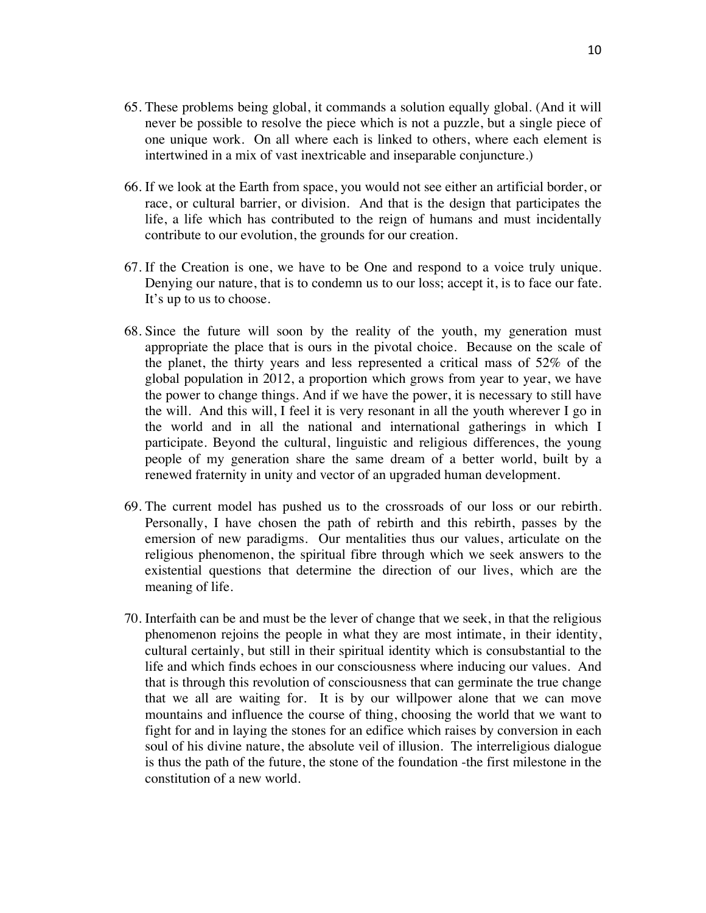- 65. These problems being global, it commands a solution equally global. (And it will never be possible to resolve the piece which is not a puzzle, but a single piece of one unique work. On all where each is linked to others, where each element is intertwined in a mix of vast inextricable and inseparable conjuncture.)
- 66. If we look at the Earth from space, you would not see either an artificial border, or race, or cultural barrier, or division. And that is the design that participates the life, a life which has contributed to the reign of humans and must incidentally contribute to our evolution, the grounds for our creation.
- 67. If the Creation is one, we have to be One and respond to a voice truly unique. Denying our nature, that is to condemn us to our loss; accept it, is to face our fate. It's up to us to choose.
- 68. Since the future will soon by the reality of the youth, my generation must appropriate the place that is ours in the pivotal choice. Because on the scale of the planet, the thirty years and less represented a critical mass of 52% of the global population in 2012, a proportion which grows from year to year, we have the power to change things. And if we have the power, it is necessary to still have the will. And this will, I feel it is very resonant in all the youth wherever I go in the world and in all the national and international gatherings in which I participate. Beyond the cultural, linguistic and religious differences, the young people of my generation share the same dream of a better world, built by a renewed fraternity in unity and vector of an upgraded human development.
- 69. The current model has pushed us to the crossroads of our loss or our rebirth. Personally, I have chosen the path of rebirth and this rebirth, passes by the emersion of new paradigms. Our mentalities thus our values, articulate on the religious phenomenon, the spiritual fibre through which we seek answers to the existential questions that determine the direction of our lives, which are the meaning of life.
- 70. Interfaith can be and must be the lever of change that we seek, in that the religious phenomenon rejoins the people in what they are most intimate, in their identity, cultural certainly, but still in their spiritual identity which is consubstantial to the life and which finds echoes in our consciousness where inducing our values. And that is through this revolution of consciousness that can germinate the true change that we all are waiting for. It is by our willpower alone that we can move mountains and influence the course of thing, choosing the world that we want to fight for and in laying the stones for an edifice which raises by conversion in each soul of his divine nature, the absolute veil of illusion. The interreligious dialogue is thus the path of the future, the stone of the foundation -the first milestone in the constitution of a new world.